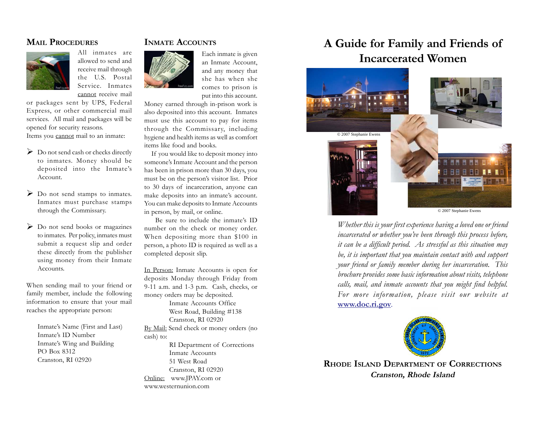## **MAIL PROCEDURES**



cannot receive mail or packages sent by UPS, Federal Express, or other commercial mail services. All mail and packages will be opened for security reasons.

All inmates are allowed to send and receive mail through the U.S. Postal Service. Inmates

Items you cannot mail to an inmate:

- > Do not send cash or checks directly to inmates. Money should be deposited into the Inmate's Account.
- ▶ Do not send stamps to inmates. Inmates must purchase stamps through the Commissary.
- > Do not send books or magazines to inmates. Per policy, inmates must submit a request slip and order these directly from the publisher using money from their Inmate Accounts.

When sending mail to your friend or family member, include the following information to ensure that your mail reaches the appropriate person:

> Inmate's Name (First and Last) Inmate's ID Number Inmate's Wing and Building PO Box 8312 Cranston, RI 02920

## **INMATE ACCOUNTS**

Each inmate is given an Inmate Account, and any money that she has when she comes to prison is put into this account.

Money earned through in-prison work is also deposited into this account. Inmates must use this account to pay for items through the Commissary, including hygiene and health items as well as comfort items like food and books.

 If you would like to deposit money into someone's Inmate Account and the person has been in prison more than 30 days, you must be on the person's visitor list. Prior to 30 days of incarceration, anyone can make deposits into an inmate's account. You can make deposits to Inmate Accounts in person, by mail, or online.

 Be sure to include the inmate's ID number on the check or money order. When depositing more than \$100 in person, a photo ID is required as well as a completed deposit slip.

In Person: Inmate Accounts is open for deposits Monday through Friday from 9-11 a.m. and 1-3 p.m. Cash, checks, or money orders may be deposited.

Inmate Accounts Office West Road, Building #138 Cranston, RI 02920 By Mail: Send check or money orders (no cash) to: RI Department of Corrections Inmate Accounts 51 West Road Cranston, RI 02920

Online: www.JPAY.com or www.westernunion.com

# **A Guide for Family and Friends of Incarcerated Women**



*Whether this is your first experience having a loved one or friend incarcerated or whether you've been through this process before, it can be a difficult period. As stressful as this situation may be, it is important that you maintain contact with and support your friend or family member during her incarceration. This brochure provides some basic information about visits, telephone calls, mail, and inmate accounts that you might find helpful. For more information, please visit our website at* **www.doc.ri.gov***.*



**RHODE ISLAND DEPARTMENT OF CORRECTIONS Cranston, Rhode Island**